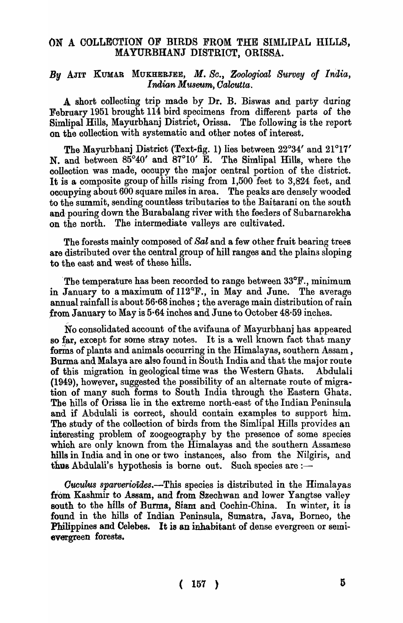## ON A COLLECTION OF BIRDS FROM THE SIMLIPAL HILLS, MAYURBHANJ DISTRICT, ORISSA.

## By AJIT KUMAR MUKHERJEE, *M. Sc., Zoological Survey of India, Indian Museum, Oalcutta.*

A short collecting trip made by Dr. B. Biswas and party during February 1951 brought 114 bird specimens from different parts of the Simlipal Hills, Mayurbhanj District, Orissa. The following is the report on the collection with systematic and other notes of interest.

The Mayurbhanj District (Text-fig. 1) lies between 22°34' and 21°17' N. and between 85°40' and 87°10' E. The Simlipal Hills, where the collection was made, occupy the major oentral portion of the district. It is a composite group of hills rising from  $1,500$  feet to  $3,824$  feet, and occupying about 600 square miles in area. The peaks are densely wooded to the summit, sending countless tributaries to the Baitarani on the south and'pouring down the Burabalang river with the feeders of Subarnarekha on the north. The intermediate valleys are cultivated.

The forests mainly composed of *Sal* and a few other fruit bearing trees are distributed over the oentral group of hill ranges and the plains sloping to the east and west of these hills.

'The temperature has been recorded to range between 33°F., minimum in January to a maximum of  $112^{\circ}$ F., in May and June. The average annual rainfall is about 56·68 inches; the average main distribution of rain from January to May is  $5.64$  inches and June to October  $48.59$  inches.

No consolidated account of the avifauna of Mayurbhanj has appeared so far, except for some stray notes. It is a well known fact that many forms of plants and animals occurring in the Himalayas, southern Assam, Burma and Malaya are also found in South India and that the major route of this migration in geological time was the Western Ghats. Abdulali (1949), however, suggested the possibility of an alternate route of migra .. tion of many such forms to South India through the' Eastern Ghats. The hills of Orissa lie in the extreme north-east of the Indian Peninsula and if Abdulali is correct, should contain examples to support him. The study of the collection of birds from the Simlipal Hills provides an interesting problem of zoogeography by the presence of some species which are only known from the Himalayas and the southern Assamese hills in India and in one or two instances, also from the Nilgiris, and thus Abdulali's hypothesis is borne out. Such species are  $:$ 

*Cuculus sparverioides.*—This species is distributed in the Himalayas from Kashmir to Assam, and from Szechwan and lower Yangtse valley south to the hills of Burma, Siam and Cochin-China. In winter, it is found in the hills of Indian Peninsula, Sumatra, Java, Borneo, the Philippines and Celebes. It is an inhabitant of dense evergreen or semievergreen forests.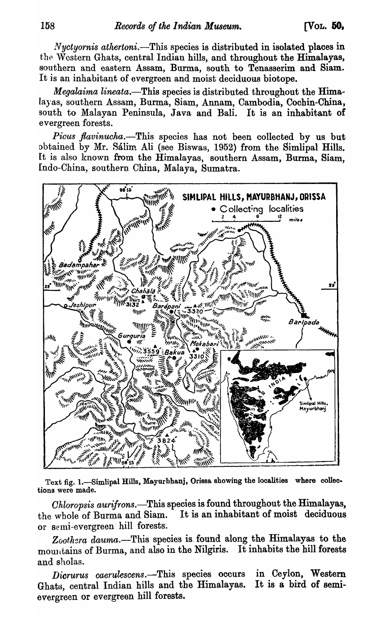*Nyctyornis athertoni.*—This species is distributed in isolated places in the Western Ghats, central Indian hills, and throughout the Himalayas, southern and eastern Assam, Burma, south to Tenasserim and Siam. It is an inhabitant of evergreen and moist deciduous biotope.

*Megalaima lineata.-This* species is distributed throughout the Himalayas, southern Assam, Burma, Siam, Annam, Cambodia, Cochin-China, south to Malayan Peninsula, Java and Bali. It is an inhabitant of evergreen forests.

*Picus flavinucha.*—This species has not been collected by us but obtained by Mr. Sálim Ali (see Biswas, 1952) from the Simlipal Hills. It is also known from the Himalayas, southern Assam, Burma, Siam, [ndo-China, southern. China, Malaya, Sumatra.



Text fig. 1.-Simlipal Hills, Mayurbhanj, Orissa showing the localities where collections were made.

*Ohloropsis aurifrons.-This* species is found throughout the Himalayas, the whole of Burma and Siam. It is an inhabitant of moist deciduous or semi-evergreen hill forests.

Zoothera dauma.-This species is found along the Himalayas to the mountains of Burma, and also in the Nilgiris. It inhabits the hill forests and sholas.

Dicrurus caerulescens.—This species occurs in Ceylon, Western Ghats, central Indian hills and the Himalayas. evergreen or evergreen hill forests. It is a bird of semi-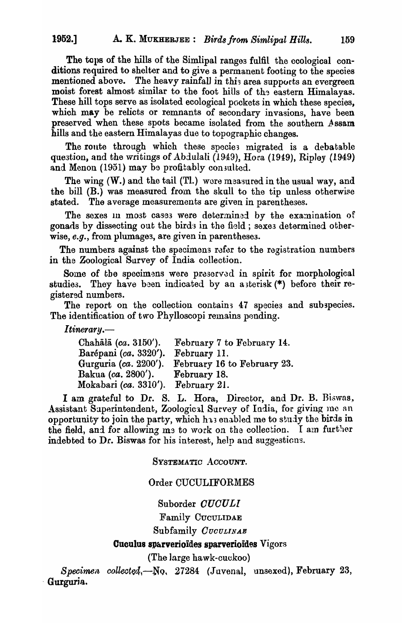The tops of the hills of the Simlipal ranges fulfil the ecological conditions required to shelter and to give a permanent footing to the species mentioned above. The heavy rainfall in this area supports an evergreen moist forest almost similar to the foot hills of the eastern Himalayas. These hill tops serve as isolated ecological pockets in which these species, which may be relicts or remnants of secondary invasions, have been preserved when these spots became isolated from the southern Assam hills and the eastern Himalayas due to topographic changes.

The route through which these species migrated is a debatable question, and the writings of  $A$ bdulali (1949), Hora (1949), Ripley (1949) and Menon (1951) may be profitably consulted.

The wing (W.) and the tail (Tl.) were measured in the usual way, and the bill  $(B.)$  was measured from the skull to the tip unless otherwise stated. The average measurements are given in parentheses.

The sexes in most cases were determined by the examination of gonads by dissecting out the birds in the field; sexes determined otherwise, *e.g.,* from plumages, are given in parenthesea.

The numbers against the specimens refer to the registration numbers in the Zoological Survey of India collection.

Some of the specimens were preserved in spirit for morphological studies. They have been indicated by an asterisk  $(*)$  before their registered numbers.

The report on the collection contains 47 species and subspecies. The identification of two Phylloscopi remains pending.

*Itinerary.*—

| Chahālā $(ca. 3150'$ ).              | February 7 to February 14.  |
|--------------------------------------|-----------------------------|
| Barépani (ca. 3320').                | February 11.                |
| Gurguria $(ca. 2200$ <sup>'</sup> ). | February 16 to February 23. |
| Bakua (ca. 2800').                   | February 18.                |
| Mokabari (ca. 3310').                | February 21.                |

I am grateful to Dr. S. L. Hora, Director, and Dr. B. Biswas, Assistant Superintendent, Zoological Survey of India, for giving me an opportunity to join the party, which h<sub>13</sub> enabled me to study the birds in the field, and for allowing me to work on the collection. I am further indebted to Dr. Biswas for his interest, help and suggesticns.

### SYSTEMATIC ACCOUNT.

### Order CUCULIFORMES

Suborder *OUOULI* 

Family CUCULIDAE

Subfamily *CUCULINAE* 

#### Cuculus sparverioides sparverioides Vigors

(The large hawk-cuckoo)

*Specimen collected*, -No, 27284 (Juvenal, unsexed), February 23, . Gurgurja.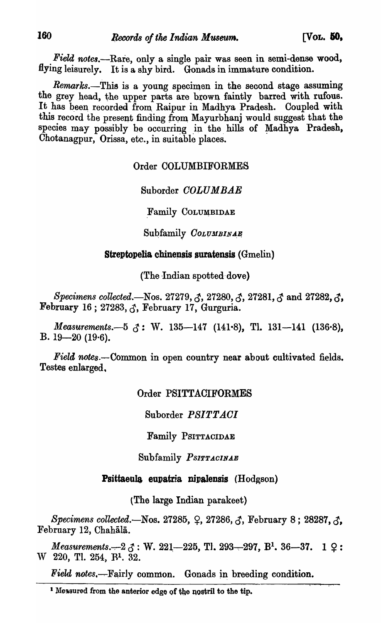*Field notes.*—Rare, only a single pair was seen in semi-dense wood, flying leisurely. It is a shy bird. Gonads in immature condition.

*Remarks.-This* is a young specimen in the seoond stage assuming the grey head, the upper parts are brown faintly barred with rufous. It has been recorded from Raipur in Madhya Pradesh. Coupled with this record the present finding from Mayurbhanj would suggest that the species may possibly be occurring in the hills of Madhya Pradesh, Chotanagpur, Orissa, etc., in suitable places.

## Order COLUMBIFORMES

## Suborder *OOLUMBAE*

Family COLUMBIDAE

Subfamily  $\mathit{CoLUMBINAE}$ 

## Streptopelia chinensis suratensis  $(Gmelin)$

(The Indian spotted dove)

*Specimens collected.*—Nos. 27279, 3, 27280, 3, 27281, 3 and 27282, 3, February 16; 27283,  $\zeta$ , February 17, Gurguria.

*Measurements.*-5  $\zeta$ : W. 135-147 (141.8), Tl. 131-141 (136.8), B.  $19-20$  (19.6).

*Field notes.*—Common in open country near about cultivated fields. Testes enlarged.

## Order PSITTACIFORMES

Suborder *PSITT AOI* 

Family PSITTACIDAE

Subfamily *PSITTACINAE* 

## Psittaeula eupatria nipalensis (Hodgson)

(The large Indian parakeet)

*Specimens collected.*—Nos. 27285, Q, 27286, B, February 8; 28287, B, February 12, Chahālā.

*Measurements.* $-2 \zeta$ : W. 221 $-225$ , Tl. 293 $-297$ , B<sup>1</sup>. 36 $-37$ . 1  $\zeta$ : W 220, Tl. 254, RI. 32.

*Field notes,*—Fairly common. Gonads in breeding condition.

<sup>&</sup>lt;sup>1</sup> Messured from the anterior edge of the nostril to the tip.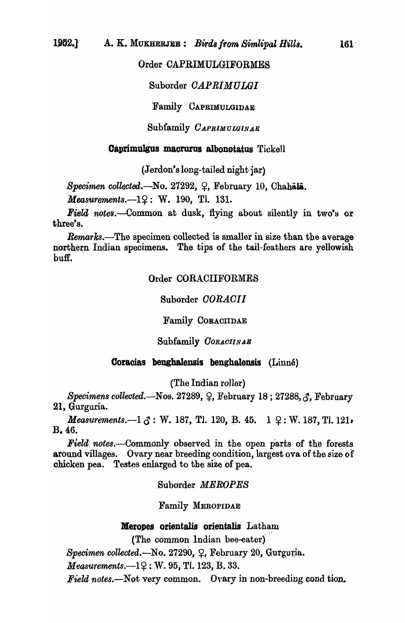## Order CAPRIMULGIFORMES

## Suborder *OAPRIMULGI*

Family CAPRIMULGIDAE

Subfamily *CAPRIMULGINAE* 

### Caprimulgus macrurus albonotatus Tickell

(Jerdon'slong-taiIed night jar)

 $Specimen$  *collected.*-No. 27292,  $\varphi$ , February 10, Chahala.

*Measurements.* $-1$ ?: W. 190, Tl. 131.

*Field notes.*—Common at dusk, flying about silently in two's or three's.

*Remarks.*—The specimen collected is smaller in size than the average northern Indian specimens. The tips of the tail-feathers are yellowish buff.

### Order CORACIIFORMES

Suborder *OORAOII* 

Family CORACIIDAE

#### Subfamily *CORACIINAB*

#### Coracias benghalensis benghalensis (Linne)

(The Indian roller)

*Specimens collected.*—Nos. 27289, Q, February 18; 27288,  $\delta$ , February 21, Gurguria.

*Measurements.* $-1 \, \zeta$ : W. 187, Tl. 120, B. 45. 1  $\Omega$ : W. 187, Tl. 121, B.46.

Field notes.—Commonly observed in the open parts of the forests around villages. Ovary near breeding condition, largest ova of the size of chicken pea. Testes enlarged to the size of pea.

Suborder *MEROPES* 

Family MEROPIDAE

### Meropes orientalls orientalis Latham

(The common Indian bee-eater)

*Specimen collected.*—No. 27290, Q, February 20, Gurguria.

*Measurements.* $-1$ ?: W. 95, Tl. 123, B. 33.

Field notes.-Not very common. Ovary in non-breeding cond tion.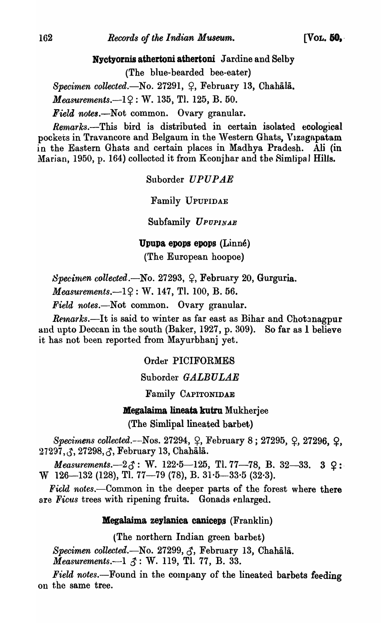Nyctyornis athertoni athertoni Jardine and Selby

(The blue-bearded bee-eater)

Specimen collected.—No. 27291, Q, February 13, Chahala.

 $Measurements. -19: W. 135, T1. 125, B. 50.$ 

*Field notes.-Not* common. Ovary granular.

*Remarks.*—This bird is distributed in certain isolated ecological pockets in Travancore and Belgaum in the Western Ghats, Vizagapatam in the Eastern Ghats and certain places in Madhya Pradesh. Ali (in Marian, 1950, p. 164) collected it from Keonjhar and the Simlipal Hills.

Suborder UPUPAE

Family UPUPIDAE

Subfamily *UPUPINAE* 

Upupa epops epops (Linne)

(The European hoopoe)

*Specimen collected.*—No. 27293, Q, February 20, Gurguria.

*Measurements.* $-1$  $2$ : W. 147, Tl. 100, B. 56.

*Field notes.-Not* common. Ovary granular.

*Remarks.*—It is said to winter as far east as Bihar and Chotanagpur and upto Deccan in the south (Baker, 1927, p. 309). So far as 1 believe it has not been reported from Mayurbhanj yet.

Order PICIFORMES

Suborder *GALBULAE* 

Family CAPITONIDAE

Megalaima lineata kutru Mukherjee (The Simlipal lineated barbet)

Specimens collected.--Nos. 27294,  $\varphi$ , February 8; 27295,  $\varphi$ , 27296,  $\varphi$ , 27297, 3, 27298, 3, February 13, Chahala.

*Measurements.* $-2\zeta$ : W. 122 $\cdot$ 5 $-125$ , Tl. 77 $-78$ , B. 32 $-33$ . 3  $\zeta$ : W 126-132 (128), Tl. 77-79 (78), B.  $31·5-33·5$  (32 $·3$ ).

Field notes.--Common in the deeper parts of the forest where there are *Ficus* trees with ripening fruits. Gonads enlarged.

## Megalaima zeylanica caniceps (Franklin)

(The northern Indian green barbet)

Specimen collected.-No. 27299,  $\zeta$ , February 13, Chahala.

*Measurements.*—1  $\mathcal{S}:$  W. 119, Tl. 77, B. 33.

Field notes.—Found in the company of the lineated barbets feeding on the same tree.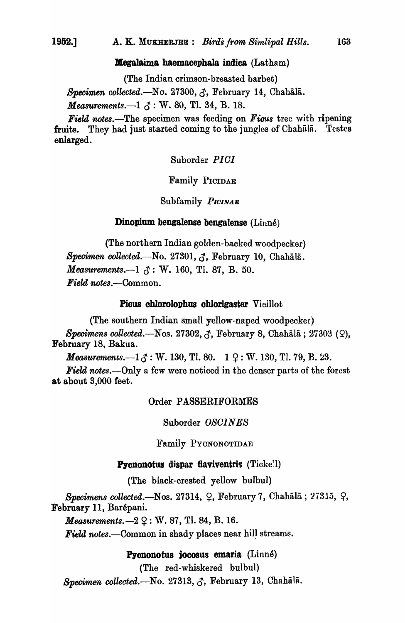#### Megalaima haemacephala indica (Latham)

(The Indian crimson-breasted barbet) *Specimen collected.-N* o. 27300, S, February 14, Chahala. *Measurements.*—1  $\delta$ : W. 80, Tl. 34, B. 18.

*Field notes.*—The specimen was feeding on *Ficus* tree with ripening fruits. They had just started coming to the jungles of Chahala. Testes enlarged.

Suborder *PIGI* 

Family PICIDAE

Subfamily *PICINAE* 

#### Dinopium bengalense bengalense (Linné)

(The northern Indian golden-backed woodpecker) *Specimen collected.-No.* 27301, *S,.* February 10, Chahalf. *Measurements.*—1  $\delta$ : W. 160, Tl. 87, B. 50. *Field 'notes.-Common.* 

#### Picus chlorolophus chlorigaster Vieillot

(The southern Indian small yellow-naped woodpecker) *Specimens collected.-N* os. 27302, S, February 8, Chahala ; 27303 (Q), February 18, Bakua.

*Measurements.*—1 $\zeta$ : W. 130, Tl. 80.  $\;$  1  $\Omega$ : W. 130, Tl. 79, B. 23.

*Field notes.-Only* a few were noticed in the denser parts of the forest at about 3,000 feet.

#### Order PASSERIFORMES

Suborder *OSOINES* 

Family PYCNONOTIDAE

#### **Pycnonotus dispar flaviventris** (Ticke!)

(The black-crested yellow bulbul)

*Specimens collected.*—Nos.  $27314, 9$ , February 7, Chahālā;  $27315, 9$ , February 11, Barépani.

*Measurements.* $-2 \Omega$ : W. 87, Tl. 84, B. 16.

**Field notes.**—Common in shady places near hill streams.

### Pycnonotus jocosus emaria (Linné)

(The red-whiskered bulbul)

*Specimen collected.*—No. 27313, S, February 13, Chahālā.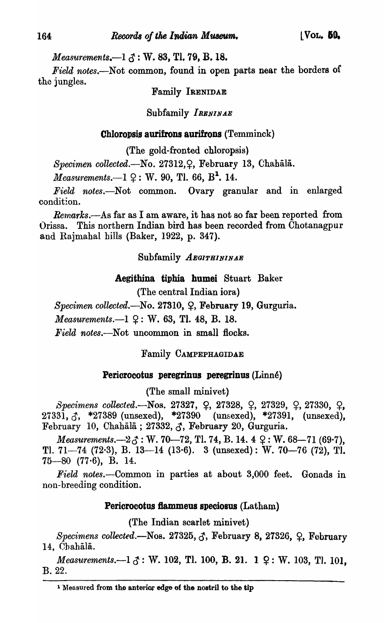# *Measurements.* $-1 \leq$ : W. 83, Tl. 79, B. 18.

*Field notes.-Not* common, found in open parts near the borders of the jungles.

# Family IRENIDAE

# Subfamily *IRENINAE*

# Chloropsis aurifrons aurifrons  $(Temminck)$

(The gold-fronted chloropsis)

*Specimen collected.*—No. 27312, 2, February 13, Chahala.

*Measurements.*—1  $\Omega$ : W. 90, Tl. 66,  $B^1$ , 14.

*Field notes.-Not* common. Ovary granular and in enlarged condition.

*Remarks.*—As far as I am aware, it has not so far been reported from ()rissa. This northern Indian bird has been recorded from Chotanagpur and Rajmahal hills (Baker, 1922, p. 347).

# Subfamily *AEGIPHININAB*

# Aegithina tiphia humei Stuart Baker

(The central Indian iora)

Specimen collected.-No. 27310, Q, February 19, Gurguria. *Measurements.*--1  $9:$  W. 63, Tl. 48, B. 18.

*Field notes.*--Not uncommon in small flocks.

Family CAMPEPHAGIDAE

# Pericrocotus peregrinus peregrinus (Linné)

(The small minivet)

 $Specimens$   $collected.$  Nos. 27327,  $\varphi$ , 27328,  $\varphi$ , 27329,  $\varphi$ , 27330,  $\varphi$ ,  $27331, 3$ , \*27389 (unsexed), \*27390 (unsexed), \*27391, (unsexed), February 10, Chahala; 27332,  $\zeta$ , February 20, Gurguria.

*Measurements.* $-2\zeta$ : W. 70–72, Tl. 74, B. 14. 4  $\varphi$ : W. 68–71 (69.7), Tl. 71-74 (72.3), B. 13-14 (13.6). 3 (unsexed): W. 70-76 (72), Tl.  $75-80$  (77 $\cdot$ 6), B. 14.

*Field notes.-Common* in parties at about 3,000 feet. Gonads in non-breeding condition.

# Pericrocotus fiammeus speciosus (Latham)

(The Indian scarlet minivet)

 $Specimens collected.$ -Nos. 27325,  $\zeta$ , February 8, 27326,  $\zeta$ , February 14, ChahaJa.

*Measurements.* $-1 \, \xi : W.$  102, Tl. 100, B. 21. 1  $\Omega : W.$  103, Tl. 101, B.22.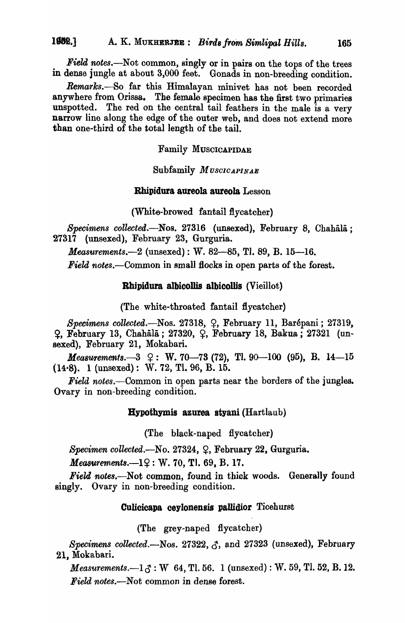*Field notes.*—Not common, singly or in pairs on the tops of the trees in dense jungle at about 3,000 feet. Gonads in non-breeding condition.

Remarks.-So far this Himalayan minivet has not been recorded anywhere from Orissa. The female specimen has the first two primaries unspotted. The red on the central tail feathers in the male is a very narrow line along the edge of the outer web, and does not extend more than one-third of the total length of the tail.

#### Family MUSCICAPIDAE

Subfamily *MU8010APINAE* 

### Rbipidura aureola aureola Lesson

(White-browed fantail flycatcher)

Specimens collected.-Nos. 27316 (unsexed), February 8, Chahala; 27317 (unsexed), February 23, Gurguria.

*Measurements.*-2 (unsexed) : W. 82-85, Tl. 89, B. 15-16.

*Field notes.-Common* in small Hocks in open parts of the forest.

#### Rhipidura albicollis albicollis (Vieillot)

(The white-throated fantail flycatcher)

Specimens collected.—Nos. 27318, <sup>Q</sup>, February 11, Barépani; 27319, ~, February 13, Chahali; 27320, ~, February 18, Bakua; 27321 (unsexed), February 21, Mokabari.

*Measurements.* $-3 \quad 2 : W. 70-73 (72), T1. 90-100 (95), B. 14-15$ (14-S). 1 (unsexed): W. 72, TI. 96, B. 15.

*Field notes*.—Common in open parts near the borders of the jungles. Ovary in non-breeding condition.

#### Hypothymis azurea styani (Hartlaub)

(The black-naped flycatcher)

*Specimen collected.*—No. 27324, Q. February 22, Gurguria.

*Measurements.*--19: W. 70, Tl. 69, B. 17.

*Field notes.*—Not common, found in thick woods. Generally found singly. Ovary in non-breeding condition.

#### Culicicapa ceylonensis pallidior Ticehurst

(The grey-naped flycatcher)

*Specimens collected.*- $N$ os. 27322,  $\zeta$ , and 27323 (unsexed), February 21, Mokabari.

*Measurements.*— $1\text{ }\mathcal{S}$ : W  $64$ , Tl. 56. 1 (unsexed): W. 59, Tl. 52, B. 12. *Field notes.*—Not common in dense forest.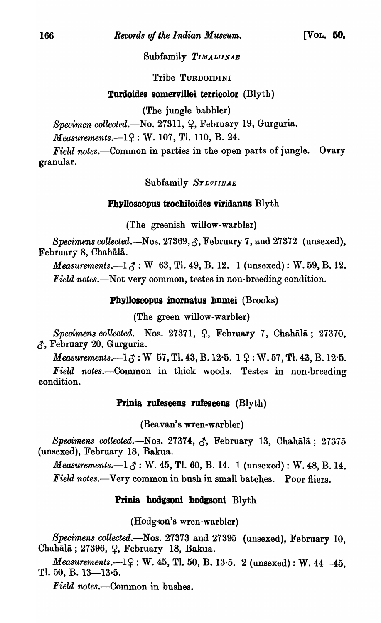## Subfamily *TIMALIINAE*

## Tribe TURDOIDINI

# Turdoides somervillei terricolor (Blyth)

(The jungle babbler)

 $Specimen$  *collected.*—No. 27311,  $\varphi$ , February 19, Gurguria.

*Measurements.* $-1$ ?: W. 107, Tl. 110, B. 24.

*Field notes.*—Common in parties in the open parts of jungle. Ovary granular.

Subfamily *SYLVIINAB* 

## Phylloscopus trochiloides viridanus Blyth

(The greenish willow-warbler)

*Specimens collected.*—Nos.  $27369, \xi$ , February 7, and  $27372$  (unsexed), February 8, Chahālā.

*Measurements.* $-1\zeta$ : W 63, Tl. 49, B. 12. 1 (unsexed): W. 59, B. 12. *Field notes.*—Not very common, testes in non-breeding condition.

Phylloscopus inomatus humei (Brooks)

(The green willow-warbler)

*Specimens collected.*—Nos. 27371, Q, February 7, Chahālā; 27370,  $\zeta$ , February 20, Gurguria.

*Measurements.* $-1.7$ : W 57, Tl. 43, B. 12 $\cdot$ 5. 1  $\circ$ : W. 57, Tl. 43, B. 12 $\cdot$ 5.

*Field notes.-Common* in thick woods. Testes in non-breeding condition.

### Prinia rufescens rufescens (Blyth)

(Beavan's wren-warbler)

*Specimens collected.*—Nos. 27374,  $\zeta$ , February 13, Chahala; 27375 (unsexed), February 18, Bakua.

*Measurements.* $-1 \, \zeta$ : W. 45, Tl. 60, B. 14. 1 (unsexed): W. 48, B. 14. Field notes.—Very common in bush in small batches. Poor fliers.

## Prinia hodgsoni hodgsoni Blyth

(Hodgson's wren-warbler)

*Specimens collected.-Nos.* 27373 and 27395 (unsexed), February 10, Chahālā; 27396,  $\varphi$ , February 18, Bakua.

*Measurements.*--12: W. 45, Tl. 50, B. 13.5. 2 (unsexed): W. 44-45, Tl.  $50, B. 13-13.5.$ 

*Field notes.*—Common in bushes.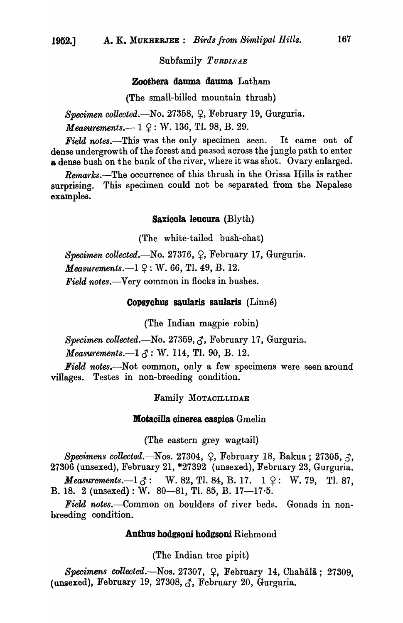#### Subfamily *TURDINAE*

#### Zoothera dauma dauma Latham

(The small-billed mountain thrush)

*Specimen collected.*-No. 27358,  $\varphi$ , February 19, Gurguria.

*Measurements.* -- 1  $\varphi$ : W. 136, Tl. 98, B. 29.

*Field notes.-This* was the only specimen seen. It came out of dense undergrowth of the forest and passed across the jungle path to enter a dense bush on the bank of the river, where it was shot. Ovary enlarged.

*Remarks.*-The occurrence of this thrush in the Orissa Hills is rather surprising. This specimen could not be separated from the Nepalese examples.

#### Saxicola leucura (Blyth)

(The white-tailed bush-chat)

*Specimen collected.*-No. 27376, Q, February 17, Gurguria. *Measurements.* $-1$   $9$ : W. 66, Tl. 49, B. 12. *Field notes.*—Very common in flocks in bushes.

#### Copsychus sauIaris saularis (Linne)

(The Indian magpie robin)

*Specimen collected.*—No. 27359,  $\zeta$ , February 17, Gurguria.

*Measurements.* $-1 \, \delta$ : W. 114, Tl. 90, B. 12.

Field notes.—Not common, only a few specimens were seen around villages. Testes in non-breeding condition.

#### Family MOTACILLIDAE

#### Motacilla cinerea caspica Gmelin

(The eastern grey wagtail)

*Specimens collected.*—Nos. 27304,  $\varphi$ , February 18, Bakua; 27305,  $\mathcal{F}_1$ , 27306 (unsexed), February 21, \*27392 (unsexed), February 23, Gurguria. *Measurements.* $-1 \, \delta$ : W. 82, Tl. 84, B. 17. 1  $\varphi$ : W. 79, Tl. 87,

B. 18. 2 (unsexed) : W. 80-81, Tl. 85, B. 17-17.5.

Field notes.—Common on boulders of river beds. Gonads in nonbreeding condition.

#### Anthus hodgsoni hodgsoni Richmond

(The Indian tree pipit)

*Specimens collected.*—Nos. 27307, Q, February 14, Chahālā; 27309, (unsexed), February 19, 27308,  $\zeta$ , February 20, Gurguria.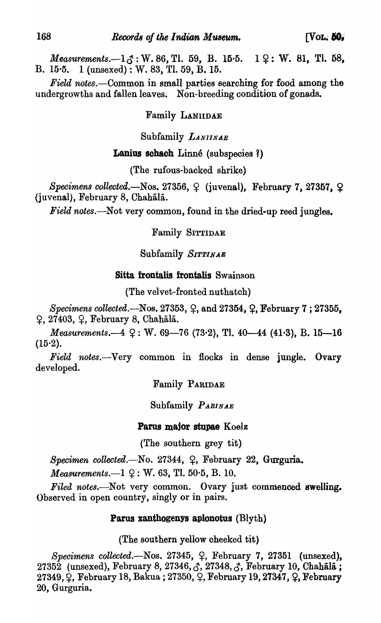*Measurements.* $-1.7$ : W. 86, Tl. 59, B. 15.5. 1  $9$ : W. 81, Tl. 58, B. 15-5. 1 (unsexed) : W. 83, Tl. 59, B. 15.

*Field notes.-Common* in small parties searching for food among the undergrowths and fallen leaves. Non-breeding condition of gonads.

## Family LANIIDAE

## Subfamily *LANl1NAE*

# Lanius schach Linné (subspecies ?)

(The rufous-backed shrike)

Specimens collected.-Nos. 27356, <sup>Q</sup> (juvenal), February 7, 27357, Q (juvenal), February 8, Chahala.

*Field notes.*—Not very common, found in the dried-up reed jungles.

## Family SITTIDAE

Subfamily *SIPPINAE* 

## Sitta frontalis frontalis Swainson

(The velvet-fronted nuthatch)

*Specimens collected.*—Nos. 27353, Q, and 27354, Q, February 7; 27355,  $\varphi$ , 27403,  $\varphi$ , February 8, Chahala.

*Measurements.* $-4 \, \text{Q}$ : W. 69–76 (73.2), Tl. 40–44 (41.3), B. 15–16  $(15.2)$ .

*Field notes.-Very* common in flocks in dense jungle. Ovary developed.

Family PARIDAE

Subfamily *PARINAE* 

## Parus major stupae Koelz

(The southern grey tit)

*Specimen collected.*-No. 27344,  $\varphi$ , February 22, Gurguria.

*Measurements.* $-1 \, \Omega$ : W. 63, Tl. 50 $\cdot$ 5, B. 10.

*Filed notes.-Not* very common. Ovary just commenced swelling. Observed in open country, singly or in pairs.

## Parus xanthogenya aplonotus (Blyth)

(The southern yellow cheeked tit)

Specimens collected.-Nos. 27345,  $\varphi$ , February 7, 27351 (unsexed), 27352 (unsexed), February 8, 27346,  $\zeta$ , 27348,  $\zeta$ , February 10, Chahala;  $27349,$   $\Omega$ , February 18, Bakua;  $27350,$   $\Omega$ , February 19, 27347,  $\Omega$ , February 20, Gurguria.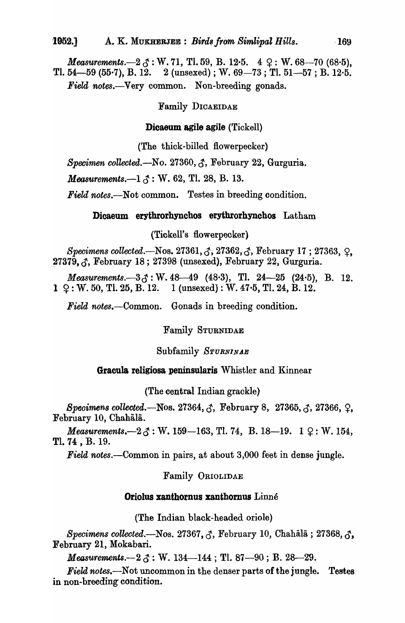*Measurements.* $-2 \beta$ : W. 71, Tl. 59, B. 12.5.  $4 \varphi$ : W. 68-70 (68.5), Tl. 54-59 (55.7), B. 12. 2 (unsexed); W.  $69-73$ ; Tl.  $51-57$ ; B. 12.5. *Field notes.-Very* common. Non-breeding gonads.

## Family DICAEIDAE

#### Dicaeum agile agile (Tickell)

(The thick-billed flowerpecker)

*Specimen collected.*—No. 27360,  $\zeta$ , February 22, Gurguria.

*Measurements.*—1  $\mathcal{S}$ : W. 62, Tl. 28, B. 13.

Field notes.—Not common. Testes in breeding condition.

#### Dicaeum erythrorhynchos erythrorhynchos Latham

(Tiekell's flowerpecker)

*Specimens collected.*—Nos. 27361,  $\zeta$ , 27362,  $\zeta$ , February 17; 27363,  $\zeta$ ,  $27379, \zeta$ , February 18; 27398 (unsexed), February 22, Gurguria.

*Measurements.*-33: W. 48-49 (48.3), Tl. 24-25 (24.5), B. 12.  $1 \; \text{Q} : W. 50, T1. 25, B. 12. 1$  (unsexed) : W. 47.5, Tl. 24, B. 12.

*Field notes.-Common.* Gonads in breeding condition.

Family STURNIDAE

### Subfamily *STURNINAE*

## Gracula religiosa peninsularis Whistler and Kinnear

(The central Indian grackle)

*Specimens collected.*—Nos. 27364,  $\zeta$ , February 8, 27365,  $\zeta$ , 27366,  $\Omega$ , February 10, Chahala.

*Measurements.* $-2 \beta$ : W. 159-163, Tl. 74, B. 18-19. 1  $\varphi$ : W. 154, Tl. 74 , B. 19.

*Field notes.-Common* in pairs, at about 3,000 feet in dense jungle.

### Family ORIOLIDAE

#### Oriolus xanthornus xanthornus Linné

(The Indian black-headed oriole)

*Specimens collected.*—Nos. 27367, 3, February 10, Chahala; 27368, 3, February 21, Mokabari.

*Measurements.* $-2 \zeta$ : W. 134 $-144$ ; Tl. 87 $-90$ ; B. 28 $-29$ .

Field notes.-Not uncommon in the denser parts of the jungle. Testes in non-breeding condition.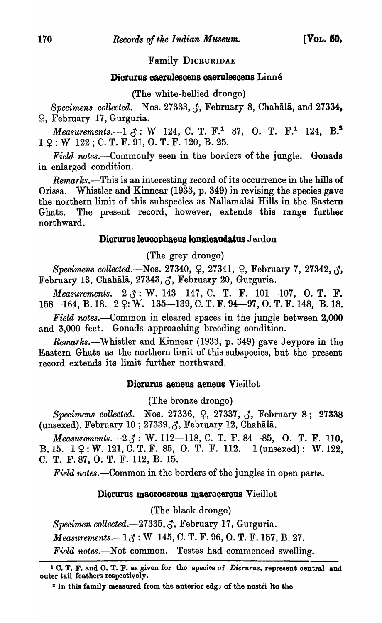## Family DICRURIDAE

# Dicrurus caerulescens caerulescens Linné

(The white-bellied drongo)

*Specimens collected.*—Nos. 27333,  $\hat{\sigma}$ , February 8, Chahala, and 27334, ~, February 17, Gurguria.

*Measurements.*-1  $\delta$ : W 124, C. T. F.<sup>1</sup> 87, O. T. F.<sup>1</sup> 124, B.<sup>2</sup>  $1 \Omega : W$  122; C. T. F. 91, O. T. F. 120, B. 25.

*Field notes.*—Commonly seen in the borders of the jungle. Gonads in enlarged condition.

*Remarks.-This* is an interesting record of its occurrence in the hills of Orissa. Whistler and Kinnear (1933, p. 349) in revising the species gave the northern limit of this subspecies as Nallamalai Hills in the Eastern Ghats. The present record, however, extends this range further northward.

## Dicrurus leucophaeus longicaudatus Jerdon

(The grey drongo)

*Specimens collected.*—Nos. 27340,  $\varphi$ , 27341,  $\varphi$ , February 7, 27342,  $\varphi$ , February 13, Chahālā, 27343,  $\zeta$ , February 20, Gurguria.

*Measurements.* $-2 \, \delta$ : W. 143-147, C. T. F. 101-107, O. T. F. 158-164, B. 18. 2  $\varphi$ : W. 135-139, C. T. F. 94-97, O. T. F. 148, B. 18.

*Field notes.*—Common in cleared spaces in the jungle between 2,000 and 3,000 feet. Gonads approaching breeding condition.

Remarks.—Whistler and Kinnear (1933, p. 349) gave Jeypore in the Eastern Ghats as the northern limit of this 8ubapecies, but the present record extends its limit further northward.

## Dicrurus aeneus aeneus Vieillot

(The bronze drongo)

Specimens collected.-Nos. 27336, Q, 27337, 3, February 8; 27338 (unsexed), February 10; 27339,  $\zeta$ , February 12, Chahala.

*Measurements.* $-2 \zeta$ : W. 112-118, C. T. F. 84-85, O. T. F. 110, B. 15.  $1 \, \Omega : W. 121, C. T. F. 85, O. T. F. 112. 1 (unsexd): W. 122,$ C. T. F.87, O. T. F. 112, B. 15.

*Field notes.*—Common in the borders of the jungles in open parts.

### Dicrurus macrocercus macrocercus Vieillot

(The black drongo)

*Specimen collecteil.-·27335,* ~, February 17, Gurguria.

*Measurements.* $-1 \, \mathcal{J} : W$  145, C. T. F. 96, O. T. F. 157, B. 27.

*Field notes.*--Not common. Testes had commonced swelling.

<sup>1</sup> C. T. F. and O. T. F. as given for the species of *Dieruru8,* represent central and outer tail feathers respectively.

 $2$  In this family measured from the anterior edge of the nostri Ito the